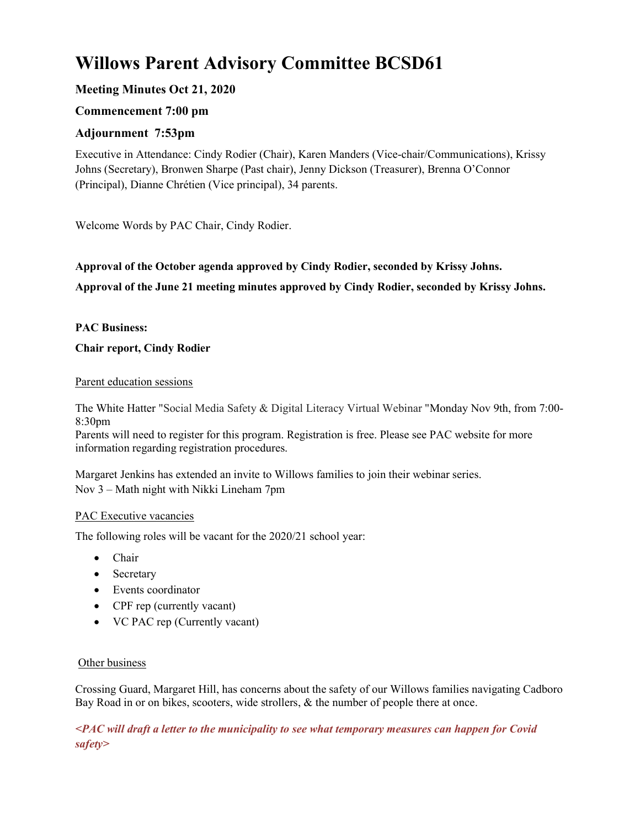# Willows Parent Advisory Committee BCSD61

# Meeting Minutes Oct 21, 2020

# Commencement 7:00 pm

# Adjournment 7:53pm

Executive in Attendance: Cindy Rodier (Chair), Karen Manders (Vice-chair/Communications), Krissy Johns (Secretary), Bronwen Sharpe (Past chair), Jenny Dickson (Treasurer), Brenna O'Connor (Principal), Dianne Chrétien (Vice principal), 34 parents.

Welcome Words by PAC Chair, Cindy Rodier.

# Approval of the October agenda approved by Cindy Rodier, seconded by Krissy Johns. Approval of the June 21 meeting minutes approved by Cindy Rodier, seconded by Krissy Johns.

#### PAC Business:

#### Chair report, Cindy Rodier

#### Parent education sessions

The White Hatter "Social Media Safety & Digital Literacy Virtual Webinar "Monday Nov 9th, from 7:00- 8:30pm

Parents will need to register for this program. Registration is free. Please see PAC website for more information regarding registration procedures.

Margaret Jenkins has extended an invite to Willows families to join their webinar series. Nov 3 – Math night with Nikki Lineham 7pm

#### PAC Executive vacancies

The following roles will be vacant for the 2020/21 school year:

- Chair
- Secretary
- Events coordinator
- CPF rep (currently vacant)
- VC PAC rep (Currently vacant)

#### Other business

Crossing Guard, Margaret Hill, has concerns about the safety of our Willows families navigating Cadboro Bay Road in or on bikes, scooters, wide strollers, & the number of people there at once.

<PAC will draft a letter to the municipality to see what temporary measures can happen for Covid safety>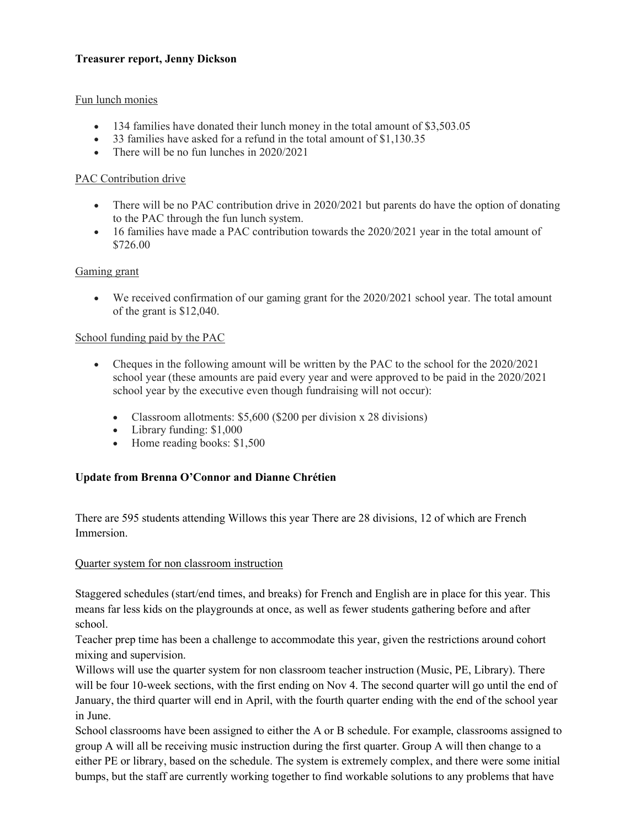#### Treasurer report, Jenny Dickson

#### Fun lunch monies

- 134 families have donated their lunch money in the total amount of \$3,503.05
- 33 families have asked for a refund in the total amount of \$1,130.35
- There will be no fun lunches in 2020/2021

#### PAC Contribution drive

- There will be no PAC contribution drive in 2020/2021 but parents do have the option of donating to the PAC through the fun lunch system.
- 16 families have made a PAC contribution towards the 2020/2021 year in the total amount of \$726.00

#### Gaming grant

 We received confirmation of our gaming grant for the 2020/2021 school year. The total amount of the grant is \$12,040.

#### School funding paid by the PAC

- Cheques in the following amount will be written by the PAC to the school for the 2020/2021 school year (these amounts are paid every year and were approved to be paid in the 2020/2021 school year by the executive even though fundraising will not occur):
	- Classroom allotments: \$5,600 (\$200 per division x 28 divisions)
	- Library funding: \$1,000
	- Home reading books: \$1,500

#### Update from Brenna O'Connor and Dianne Chrétien

There are 595 students attending Willows this year There are 28 divisions, 12 of which are French Immersion.

#### Quarter system for non classroom instruction

Staggered schedules (start/end times, and breaks) for French and English are in place for this year. This means far less kids on the playgrounds at once, as well as fewer students gathering before and after school.

Teacher prep time has been a challenge to accommodate this year, given the restrictions around cohort mixing and supervision.

Willows will use the quarter system for non classroom teacher instruction (Music, PE, Library). There will be four 10-week sections, with the first ending on Nov 4. The second quarter will go until the end of January, the third quarter will end in April, with the fourth quarter ending with the end of the school year in June.

School classrooms have been assigned to either the A or B schedule. For example, classrooms assigned to group A will all be receiving music instruction during the first quarter. Group A will then change to a either PE or library, based on the schedule. The system is extremely complex, and there were some initial bumps, but the staff are currently working together to find workable solutions to any problems that have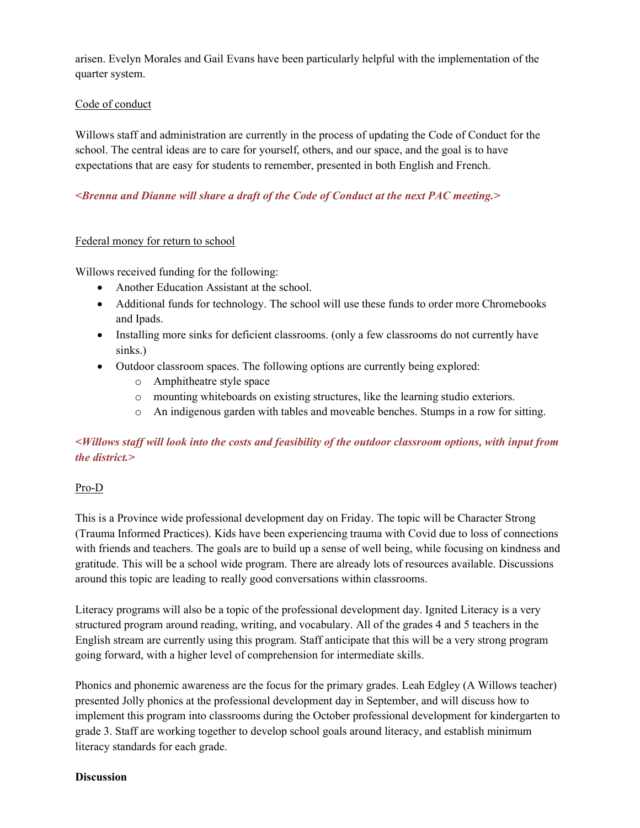arisen. Evelyn Morales and Gail Evans have been particularly helpful with the implementation of the quarter system.

#### Code of conduct

Willows staff and administration are currently in the process of updating the Code of Conduct for the school. The central ideas are to care for yourself, others, and our space, and the goal is to have expectations that are easy for students to remember, presented in both English and French.

## <Brenna and Dianne will share a draft of the Code of Conduct at the next PAC meeting.>

#### Federal money for return to school

Willows received funding for the following:

- Another Education Assistant at the school.
- Additional funds for technology. The school will use these funds to order more Chromebooks and Ipads.
- Installing more sinks for deficient classrooms. (only a few classrooms do not currently have sinks.)
- Outdoor classroom spaces. The following options are currently being explored:
	- o Amphitheatre style space
	- o mounting whiteboards on existing structures, like the learning studio exteriors.
	- o An indigenous garden with tables and moveable benches. Stumps in a row for sitting.

# <Willows staff will look into the costs and feasibility of the outdoor classroom options, with input from the district. $>$

## Pro-D

This is a Province wide professional development day on Friday. The topic will be Character Strong (Trauma Informed Practices). Kids have been experiencing trauma with Covid due to loss of connections with friends and teachers. The goals are to build up a sense of well being, while focusing on kindness and gratitude. This will be a school wide program. There are already lots of resources available. Discussions around this topic are leading to really good conversations within classrooms.

Literacy programs will also be a topic of the professional development day. Ignited Literacy is a very structured program around reading, writing, and vocabulary. All of the grades 4 and 5 teachers in the English stream are currently using this program. Staff anticipate that this will be a very strong program going forward, with a higher level of comprehension for intermediate skills.

Phonics and phonemic awareness are the focus for the primary grades. Leah Edgley (A Willows teacher) presented Jolly phonics at the professional development day in September, and will discuss how to implement this program into classrooms during the October professional development for kindergarten to grade 3. Staff are working together to develop school goals around literacy, and establish minimum literacy standards for each grade.

#### **Discussion**